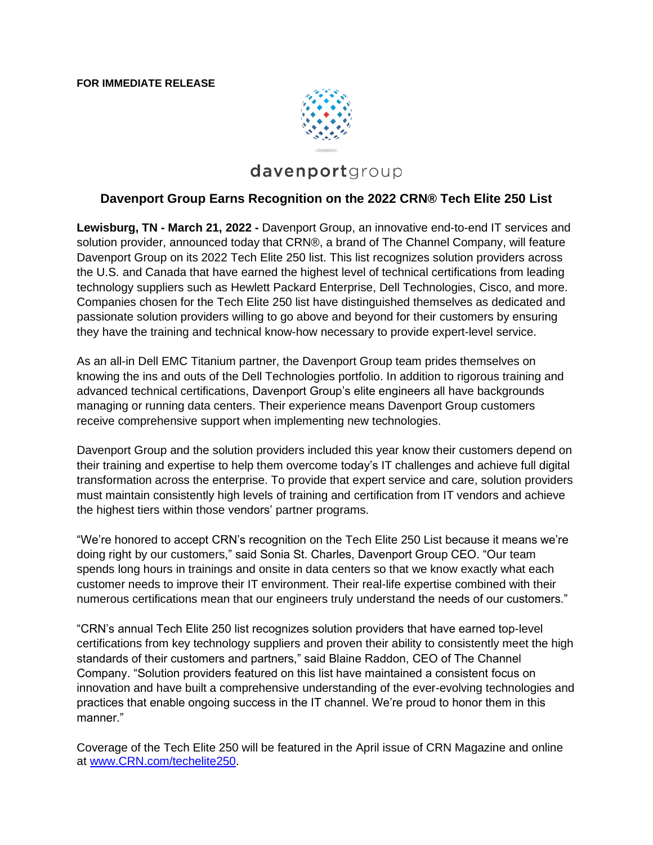

# davenportgroup

## **Davenport Group Earns Recognition on the 2022 CRN® Tech Elite 250 List**

**Lewisburg, TN - March 21, 2022 -** Davenport Group, an innovative end-to-end IT services and solution provider, announced today that CRN®, a brand of The Channel Company, will feature Davenport Group on its 2022 Tech Elite 250 list. This list recognizes solution providers across the U.S. and Canada that have earned the highest level of technical certifications from leading technology suppliers such as Hewlett Packard Enterprise, Dell Technologies, Cisco, and more. Companies chosen for the Tech Elite 250 list have distinguished themselves as dedicated and passionate solution providers willing to go above and beyond for their customers by ensuring they have the training and technical know-how necessary to provide expert-level service.

As an all-in Dell EMC Titanium partner, the Davenport Group team prides themselves on knowing the ins and outs of the Dell Technologies portfolio. In addition to rigorous training and advanced technical certifications, Davenport Group's elite engineers all have backgrounds managing or running data centers. Their experience means Davenport Group customers receive comprehensive support when implementing new technologies.

Davenport Group and the solution providers included this year know their customers depend on their training and expertise to help them overcome today's IT challenges and achieve full digital transformation across the enterprise. To provide that expert service and care, solution providers must maintain consistently high levels of training and certification from IT vendors and achieve the highest tiers within those vendors' partner programs.

"We're honored to accept CRN's recognition on the Tech Elite 250 List because it means we're doing right by our customers," said Sonia St. Charles, Davenport Group CEO. "Our team spends long hours in trainings and onsite in data centers so that we know exactly what each customer needs to improve their IT environment. Their real-life expertise combined with their numerous certifications mean that our engineers truly understand the needs of our customers."

"CRN's annual Tech Elite 250 list recognizes solution providers that have earned top-level certifications from key technology suppliers and proven their ability to consistently meet the high standards of their customers and partners," said Blaine Raddon, CEO of The Channel Company. "Solution providers featured on this list have maintained a consistent focus on innovation and have built a comprehensive understanding of the ever-evolving technologies and practices that enable ongoing success in the IT channel. We're proud to honor them in this manner."

Coverage of the Tech Elite 250 will be featured in the April issue of CRN Magazine and online at [www.CRN.com/techelite250.](http://www.crn.com/techelite250)